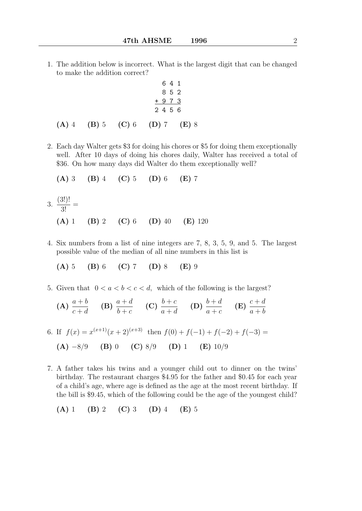1. The addition below is incorrect. What is the largest digit that can be changed to make the addition correct?

$$
\begin{array}{c c c c}\n & 6 & 4 & 1 \\
 & 8 & 5 & 2 \\
 & + & 9 & 7 & 3 \\
\hline\n & 2 & 4 & 5 & 6\n\end{array}
$$

$$
(A) 4 (B) 5 (C) 6 (D) 7 (E) 8
$$

2. Each day Walter gets \$3 for doing his chores or \$5 for doing them exceptionally well. After 10 days of doing his chores daily, Walter has received a total of \$36. On how many days did Walter do them exceptionally well?

(A) 3 (B) 4 (C) 5 (D) 6 (E) 7

- 3. (3!)!  $\frac{3!}{3!}$  = (A) 1 (B) 2 (C) 6 (D) 40 (E) 120
- 4. Six numbers from a list of nine integers are 7, 8, 3, 5, 9, and 5. The largest possible value of the median of all nine numbers in this list is

$$
(A) 5 (B) 6 (C) 7 (D) 8 (E) 9
$$

5. Given that  $0 < a < b < c < d$ , which of the following is the largest?

(A) 
$$
\frac{a+b}{c+d}
$$
 (B)  $\frac{a+d}{b+c}$  (C)  $\frac{b+c}{a+d}$  (D)  $\frac{b+d}{a+c}$  (E)  $\frac{c+d}{a+b}$   
6. If  $f(x) = x^{(x+1)}(x+2)^{(x+3)}$  then  $f(0) + f(-1) + f(-2) + f(-3) =$ 

(A) 
$$
-8/9
$$
 (B) 0 (C)  $8/9$  (D) 1 (E)  $10/9$ 

7. A father takes his twins and a younger child out to dinner on the twins' birthday. The restaurant charges \$4.95 for the father and \$0.45 for each year of a child's age, where age is defined as the age at the most recent birthday. If the bill is \$9.45, which of the following could be the age of the youngest child?

$$
(A) 1 (B) 2 (C) 3 (D) 4 (E) 5
$$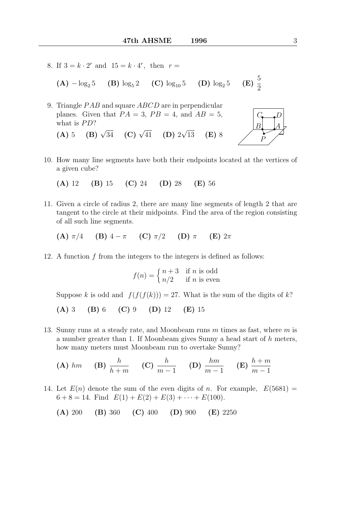8. If  $3 = k \cdot 2^r$  and  $15 = k \cdot 4^r$ , then  $r =$ 

(A)  $-\log_2 5$  (B)  $\log_5 2$  (C)  $\log_{10} 5$  (D)  $\log_2 5$ (E)  $\frac{5}{2}$ 

- 9. Triangle *PAB* and square *ABCD* are in perpendicular planes. Given that  $PA = 3$ ,  $PB = 4$ , and  $AB = 5$ , what is  $PD?$ √
	- (A) 5 (B)  $\sqrt{34}$  (C)  $\sqrt{41}$  (D) 2  $(E)$  8
- 10. How many line segments have both their endpoints located at the vertices of a given cube?

(A) 12 (B) 15 (C) 24 (D) 28 (E) 56

11. Given a circle of radius 2, there are many line segments of length 2 that are tangent to the circle at their midpoints. Find the area of the region consisting of all such line segments.

(A)  $\pi/4$  (B)  $4-\pi$  (C)  $\pi/2$  (D)  $\pi$  (E)  $2\pi$ 

12. A function f from the integers to the integers is defined as follows:

$$
f(n) = \begin{cases} n+3 & \text{if } n \text{ is odd} \\ n/2 & \text{if } n \text{ is even} \end{cases}
$$

Suppose k is odd and  $f(f(f(k))) = 27$ . What is the sum of the digits of k?

- (A) 3 (B) 6 (C) 9 (D) 12 (E) 15
- 13. Sunny runs at a steady rate, and Moonbeam runs  $m$  times as fast, where  $m$  is a number greater than 1. If Moonbeam gives Sunny a head start of h meters, how many meters must Moonbeam run to overtake Sunny?

**(A)** 
$$
hm
$$
 **(B)**  $\frac{h}{h+m}$  **(C)**  $\frac{h}{m-1}$  **(D)**  $\frac{hm}{m-1}$  **(E)**  $\frac{h+m}{m-1}$ 

- 14. Let  $E(n)$  denote the sum of the even digits of n. For example,  $E(5681) =$  $6 + 8 = 14$ . Find  $E(1) + E(2) + E(3) + \cdots + E(100)$ .
	- (A) 200 (B) 360 (C) 400 (D) 900 (E) 2250

.

.  $\overleftrightarrow{\phantom{...}}$ • P

 $\frac{B}{A}$  $C_{\bullet}$ <sub>D</sub>

 $\overline{\phantom{a}}$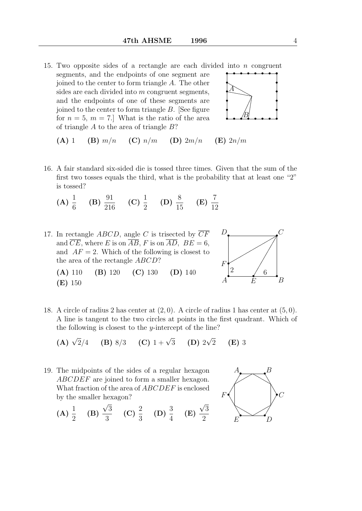15. Two opposite sides of a rectangle are each divided into  $n$  congruent segments, and the endpoints of one segment are joined to the center to form triangle A. The other sides are each divided into m congruent segments, and the endpoints of one of these segments are joined to the center to form triangle B. [See figure for  $n = 5$ ,  $m = 7$ . What is the ratio of the area of triangle  $A$  to the area of triangle  $B$ ? • • • • A



(A) 1 (B) 
$$
m/n
$$
 (C)  $n/m$  (D)  $2m/n$  (E)  $2n/m$ 

16. A fair standard six-sided die is tossed three times. Given that the sum of the first two tosses equals the third, what is the probability that at least one "2" is tossed?

(A) 
$$
\frac{1}{6}
$$
 (B)  $\frac{91}{216}$  (C)  $\frac{1}{2}$  (D)  $\frac{8}{15}$  (E)  $\frac{7}{12}$ 

17. In rectangle *ABCD*, angle *C* is trisected by  $\overline{CF}$ and  $\overline{CE}$ , where E is on  $\overline{AB}$ , F is on  $\overline{AD}$ ,  $BE = 6$ , and  $AF = 2$ . Which of the following is closest to the area of the rectangle ABCD? (A) 110 (B) 120 (C) 130 (D) 140

(E) 150



18. A circle of radius 2 has center at (2, 0). A circle of radius 1 has center at (5, 0). A line is tangent to the two circles at points in the first quadrant. Which of the following is closest to the y-intercept of the line?

**(A)** 
$$
\sqrt{2}/4
$$
 **(B)** 8/3 **(C)**  $1 + \sqrt{3}$  **(D)**  $2\sqrt{2}$  **(E)** 3

19. The midpoints of the sides of a regular hexagon ABCDEF are joined to form a smaller hexagon. What fraction of the area of ABCDEF is enclosed by the smaller hexagon? √ √



 $(A) \frac{1}{2}$ 2 (B) 3 3 (C)  $\frac{2}{5}$ 3 (D)  $\frac{3}{4}$ 4 (E) 3 2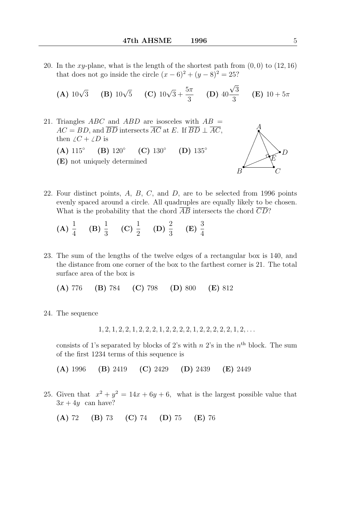20. In the xy-plane, what is the length of the shortest path from  $(0, 0)$  to  $(12, 16)$ that does not go inside the circle  $(x-6)^2 + (y-8)^2 = 25$ ?

**(A)** 
$$
10\sqrt{3}
$$
 **(B)**  $10\sqrt{5}$  **(C)**  $10\sqrt{3} + \frac{5\pi}{3}$  **(D)**  $40\frac{\sqrt{3}}{3}$  **(E)**  $10 + 5\pi$ 

21. Triangles ABC and ABD are isosceles with  $AB =$  $AC = BD$ , and  $\overline{BD}$  intersects  $\overline{AC}$  at E. If  $\overline{BD} \perp \overline{AC}$ , then  $\angle C + \angle D$  is  $(A)$  115° (B) 120◦  $(C) 130^\circ$ (D) 135◦ (E) not uniquely determined



22. Four distinct points,  $A$ ,  $B$ ,  $C$ , and  $D$ , are to be selected from 1996 points evenly spaced around a circle. All quadruples are equally likely to be chosen. What is the probability that the chord  $\overline{AB}$  intersects the chord  $\overline{CD}$ ?

(A) 
$$
\frac{1}{4}
$$
 (B)  $\frac{1}{3}$  (C)  $\frac{1}{2}$  (D)  $\frac{2}{3}$  (E)  $\frac{3}{4}$ 

23. The sum of the lengths of the twelve edges of a rectangular box is 140, and the distance from one corner of the box to the farthest corner is 21. The total surface area of the box is

(A) 776 (B) 784 (C) 798 (D) 800 (E) 812

24. The sequence

 $1, 2, 1, 2, 2, 1, 2, 2, 2, 1, 2, 2, 2, 2, 1, 2, 2, 2, 2, 2, 2, 1, 2, \ldots$ 

consists of 1's separated by blocks of 2's with  $n$  2's in the  $n<sup>th</sup>$  block. The sum of the first 1234 terms of this sequence is

(A) 1996 (B) 2419 (C) 2429 (D) 2439 (E) 2449

25. Given that  $x^2 + y^2 = 14x + 6y + 6$ , what is the largest possible value that  $3x + 4y$  can have?

(A) 72 (B) 73 (C) 74 (D) 75 (E) 76